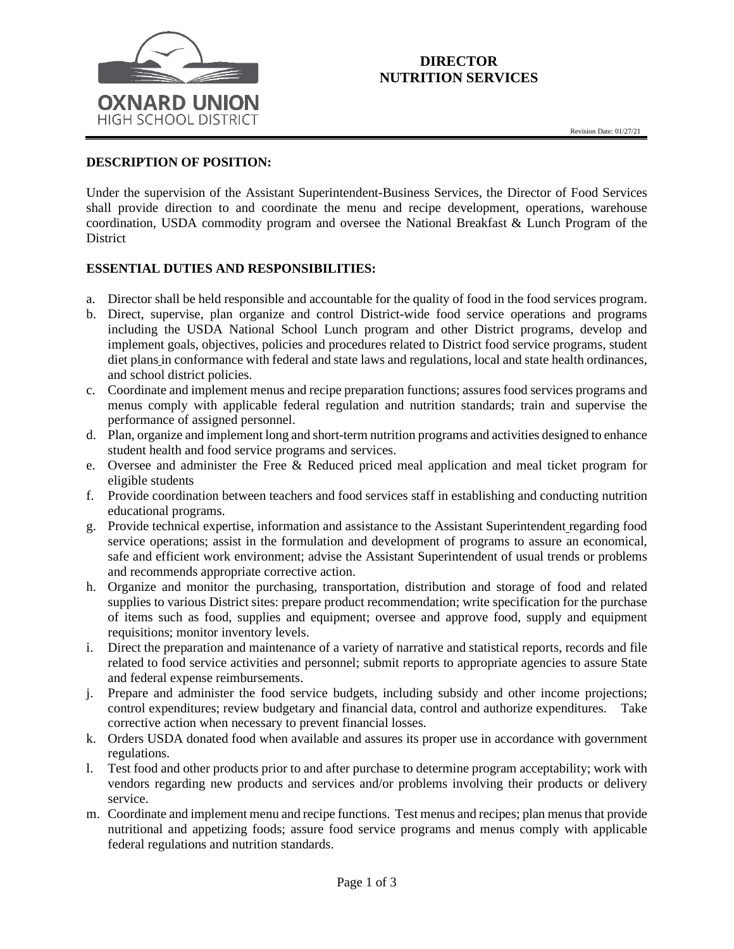

# **DIRECTOR NUTRITION SERVICES**

# **DESCRIPTION OF POSITION:**

Under the supervision of the Assistant Superintendent-Business Services, the Director of Food Services shall provide direction to and coordinate the menu and recipe development, operations, warehouse coordination, USDA commodity program and oversee the National Breakfast & Lunch Program of the District

# **ESSENTIAL DUTIES AND RESPONSIBILITIES:**

- a. Director shall be held responsible and accountable for the quality of food in the food services program.
- b. Direct, supervise, plan organize and control District-wide food service operations and programs including the USDA National School Lunch program and other District programs, develop and implement goals, objectives, policies and procedures related to District food service programs, student diet plans in conformance with federal and state laws and regulations, local and state health ordinances, and school district policies.
- c. Coordinate and implement menus and recipe preparation functions; assures food services programs and menus comply with applicable federal regulation and nutrition standards; train and supervise the performance of assigned personnel.
- d. Plan, organize and implement long and short-term nutrition programs and activities designed to enhance student health and food service programs and services.
- e. Oversee and administer the Free & Reduced priced meal application and meal ticket program for eligible students
- f. Provide coordination between teachers and food services staff in establishing and conducting nutrition educational programs.
- g. Provide technical expertise, information and assistance to the Assistant Superintendent regarding food service operations; assist in the formulation and development of programs to assure an economical, safe and efficient work environment; advise the Assistant Superintendent of usual trends or problems and recommends appropriate corrective action.
- h. Organize and monitor the purchasing, transportation, distribution and storage of food and related supplies to various District sites: prepare product recommendation; write specification for the purchase of items such as food, supplies and equipment; oversee and approve food, supply and equipment requisitions; monitor inventory levels.
- i. Direct the preparation and maintenance of a variety of narrative and statistical reports, records and file related to food service activities and personnel; submit reports to appropriate agencies to assure State and federal expense reimbursements.
- j. Prepare and administer the food service budgets, including subsidy and other income projections; control expenditures; review budgetary and financial data, control and authorize expenditures. Take corrective action when necessary to prevent financial losses.
- k. Orders USDA donated food when available and assures its proper use in accordance with government regulations.
- l. Test food and other products prior to and after purchase to determine program acceptability; work with vendors regarding new products and services and/or problems involving their products or delivery service.
- m. Coordinate and implement menu and recipe functions. Test menus and recipes; plan menus that provide nutritional and appetizing foods; assure food service programs and menus comply with applicable federal regulations and nutrition standards.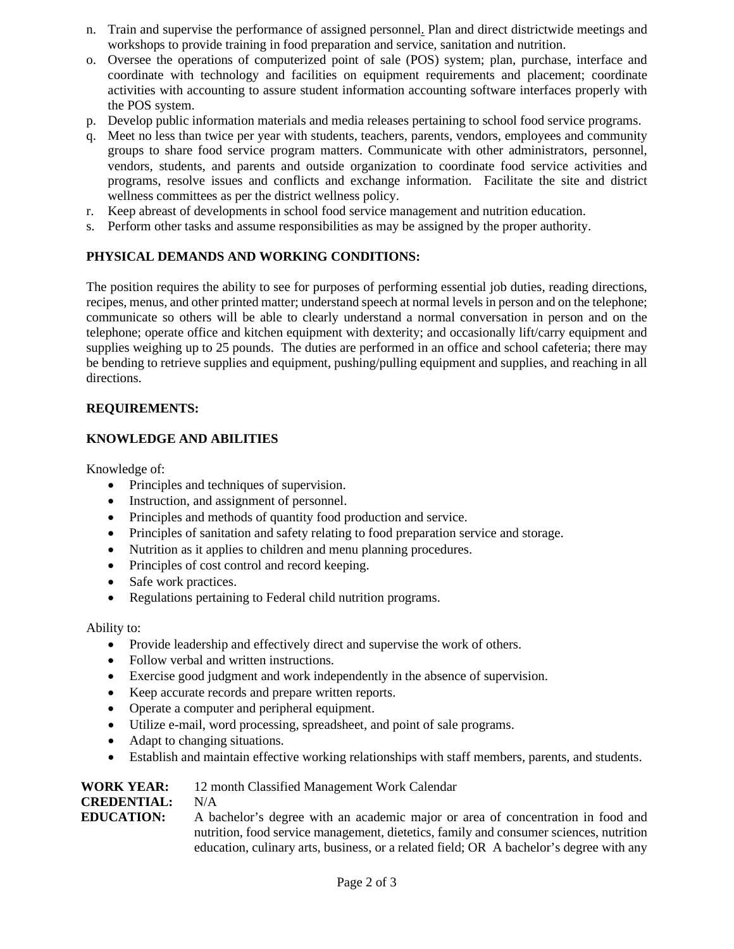- n. Train and supervise the performance of assigned personnel. Plan and direct districtwide meetings and workshops to provide training in food preparation and service, sanitation and nutrition.
- o. Oversee the operations of computerized point of sale (POS) system; plan, purchase, interface and coordinate with technology and facilities on equipment requirements and placement; coordinate activities with accounting to assure student information accounting software interfaces properly with the POS system.
- p. Develop public information materials and media releases pertaining to school food service programs.
- q. Meet no less than twice per year with students, teachers, parents, vendors, employees and community groups to share food service program matters. Communicate with other administrators, personnel, vendors, students, and parents and outside organization to coordinate food service activities and programs, resolve issues and conflicts and exchange information. Facilitate the site and district wellness committees as per the district wellness policy.
- r. Keep abreast of developments in school food service management and nutrition education.
- s. Perform other tasks and assume responsibilities as may be assigned by the proper authority.

### **PHYSICAL DEMANDS AND WORKING CONDITIONS:**

The position requires the ability to see for purposes of performing essential job duties, reading directions, recipes, menus, and other printed matter; understand speech at normal levels in person and on the telephone; communicate so others will be able to clearly understand a normal conversation in person and on the telephone; operate office and kitchen equipment with dexterity; and occasionally lift/carry equipment and supplies weighing up to 25 pounds. The duties are performed in an office and school cafeteria; there may be bending to retrieve supplies and equipment, pushing/pulling equipment and supplies, and reaching in all directions.

### **REQUIREMENTS:**

### **KNOWLEDGE AND ABILITIES**

Knowledge of:

- Principles and techniques of supervision.
- Instruction, and assignment of personnel.
- Principles and methods of quantity food production and service.
- Principles of sanitation and safety relating to food preparation service and storage.
- Nutrition as it applies to children and menu planning procedures.
- Principles of cost control and record keeping.
- Safe work practices.
- Regulations pertaining to Federal child nutrition programs.

Ability to:

- Provide leadership and effectively direct and supervise the work of others.
- Follow verbal and written instructions.
- Exercise good judgment and work independently in the absence of supervision.
- Keep accurate records and prepare written reports.
- Operate a computer and peripheral equipment.
- Utilize e-mail, word processing, spreadsheet, and point of sale programs.
- Adapt to changing situations.
- Establish and maintain effective working relationships with staff members, parents, and students.

| <b>WORK YEAR:</b>  | 12 month Classified Management Work Calendar                                            |
|--------------------|-----------------------------------------------------------------------------------------|
| <b>CREDENTIAL:</b> | N/A                                                                                     |
| <b>EDUCATION:</b>  | A bachelor's degree with an academic major or area of concentration in food and         |
|                    | nutrition, food service management, dietetics, family and consumer sciences, nutrition  |
|                    | education, culinary arts, business, or a related field; OR A bachelor's degree with any |